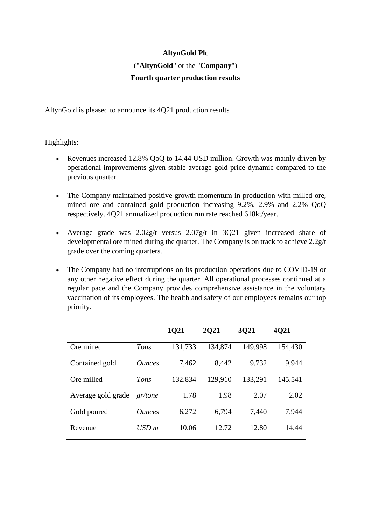## **AltynGold Plc**

## ("**AltynGold**" or the "**Company**") **Fourth quarter production results**

AltynGold is pleased to announce its 4Q21 production results

Highlights:

- Revenues increased 12.8% QoQ to 14.44 USD million. Growth was mainly driven by operational improvements given stable average gold price dynamic compared to the previous quarter.
- The Company maintained positive growth momentum in production with milled ore, mined ore and contained gold production increasing 9.2%, 2.9% and 2.2% QoQ respectively. 4Q21 annualized production run rate reached 618kt/year.
- Average grade was 2.02g/t versus 2.07g/t in 3Q21 given increased share of developmental ore mined during the quarter. The Company is on track to achieve 2.2g/t grade over the coming quarters.
- The Company had no interruptions on its production operations due to COVID-19 or any other negative effect during the quarter. All operational processes continued at a regular pace and the Company provides comprehensive assistance in the voluntary vaccination of its employees. The health and safety of our employees remains our top priority.

|                    |                             | 1Q21    | <b>2021</b> | 3Q21    | <b>4021</b> |
|--------------------|-----------------------------|---------|-------------|---------|-------------|
| Ore mined          | Tons                        | 131,733 | 134,874     | 149,998 | 154,430     |
| Contained gold     | <i><u><b>Ounces</b></u></i> | 7,462   | 8,442       | 9,732   | 9,944       |
| Ore milled         | Tons                        | 132,834 | 129,910     | 133,291 | 145,541     |
| Average gold grade | gr/tone                     | 1.78    | 1.98        | 2.07    | 2.02        |
| Gold poured        | <i><u><b>Ounces</b></u></i> | 6,272   | 6,794       | 7,440   | 7,944       |
| Revenue            | USD m                       | 10.06   | 12.72       | 12.80   | 14.44       |